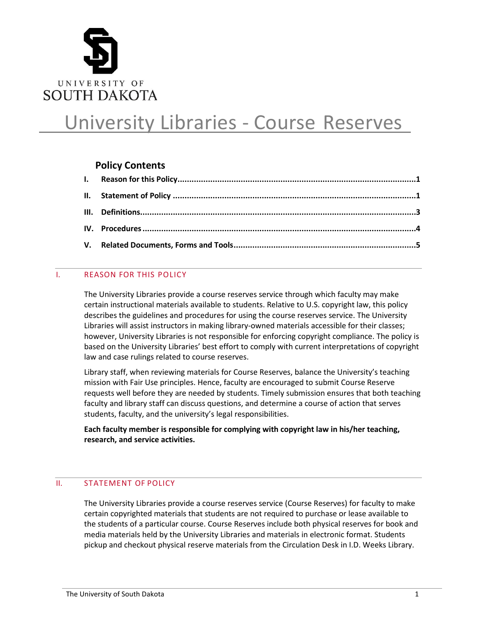

# University Libraries - Course Reserves

## **Policy Contents**

## <span id="page-0-0"></span>I. REASON FOR THIS POLICY

The University Libraries provide a course reserves service through which faculty may make certain instructional materials available to students. Relative to U.S. copyright law, this policy describes the guidelines and procedures for using the course reserves service. The University Libraries will assist instructors in making library-owned materials accessible for their classes; however, University Libraries is not responsible for enforcing copyright compliance. The policy is based on the University Libraries' best effort to comply with current interpretations of copyright law and case rulings related to course reserves.

Library staff, when reviewing materials for Course Reserves, balance the University's teaching mission with Fair Use principles. Hence, faculty are encouraged to submit Course Reserve requests well before they are needed by students. Timely submission ensures that both teaching faculty and library staff can discuss questions, and determine a course of action that serves students, faculty, and the university's legal responsibilities.

**Each faculty member is responsible for complying with copyright law in his/her teaching, research, and service activities.**

## <span id="page-0-1"></span>II. STATEMENT OF POLICY

The University Libraries provide a course reserves service (Course Reserves) for faculty to make certain copyrighted materials that students are not required to purchase or lease available to the students of a particular course. Course Reserves include both physical reserves for book and media materials held by the University Libraries and materials in electronic format. Students pickup and checkout physical reserve materials from the Circulation Desk in I.D. Weeks Library.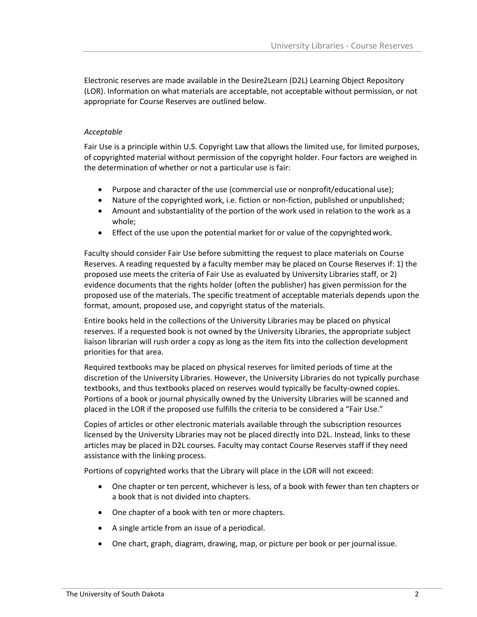Electronic reserves are made available in the Desire2Learn (D2L) Learning Object Repository (LOR). Information on what materials are acceptable, not acceptable without permission, or not appropriate for Course Reserves are outlined below.

#### *Acceptable*

Fair Use is a principle within U.S. Copyright Law that allows the limited use, for limited purposes, of copyrighted material without permission of the copyright holder. Four factors are weighed in the determination of whether or not a particular use is fair:

- Purpose and character of the use (commercial use or nonprofit/educational use);
- Nature of the copyrighted work, i.e. fiction or non-fiction, published or unpublished;
- Amount and substantiality of the portion of the work used in relation to the work as a whole;
- Effect of the use upon the potential market for or value of the copyrightedwork.

Faculty should consider Fair Use before submitting the request to place materials on Course Reserves. A reading requested by a faculty member may be placed on Course Reserves if: 1) the proposed use meets the criteria of Fair Use as evaluated by University Libraries staff, or 2) evidence documents that the rights holder (often the publisher) has given permission for the proposed use of the materials. The specific treatment of acceptable materials depends upon the format, amount, proposed use, and copyright status of the materials.

Entire books held in the collections of the University Libraries may be placed on physical reserves. If a requested book is not owned by the University Libraries, the appropriate subject liaison librarian will rush order a copy as long as the item fits into the collection development priorities for that area.

Required textbooks may be placed on physical reserves for limited periods of time at the discretion of the University Libraries. However, the University Libraries do not typically purchase textbooks, and thus textbooks placed on reserves would typically be faculty-owned copies. Portions of a book or journal physically owned by the University Libraries will be scanned and placed in the LOR if the proposed use fulfills the criteria to be considered a "Fair Use."

Copies of articles or other electronic materials available through the subscription resources licensed by the University Libraries may not be placed directly into D2L. Instead, links to these articles may be placed in D2L courses. Faculty may contact Course Reserves staff if they need assistance with the linking process.

Portions of copyrighted works that the Library will place in the LOR will not exceed:

- One chapter or ten percent, whichever is less, of a book with fewer than ten chapters or a book that is not divided into chapters.
- One chapter of a book with ten or more chapters.
- A single article from an issue of a periodical.
- One chart, graph, diagram, drawing, map, or picture per book or per journal issue.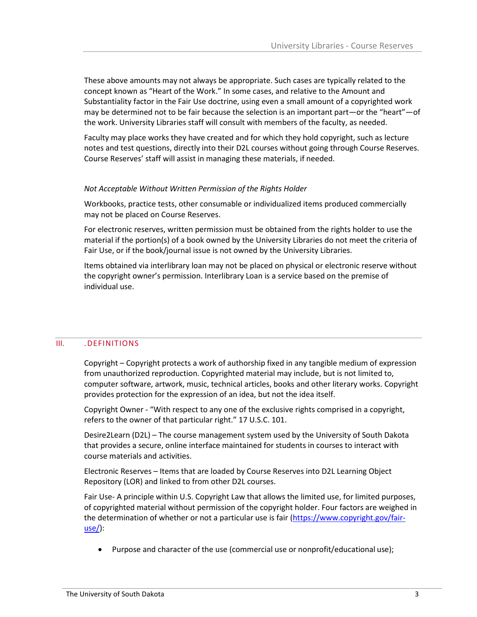These above amounts may not always be appropriate. Such cases are typically related to the concept known as "Heart of the Work." In some cases, and relative to the Amount and Substantiality factor in the Fair Use doctrine, using even a small amount of a copyrighted work may be determined not to be fair because the selection is an important part—or the "heart"—of the work. University Libraries staff will consult with members of the faculty, as needed.

Faculty may place works they have created and for which they hold copyright, such as lecture notes and test questions, directly into their D2L courses without going through Course Reserves. Course Reserves' staff will assist in managing these materials, if needed.

#### *Not Acceptable Without Written Permission of the Rights Holder*

Workbooks, practice tests, other consumable or individualized items produced commercially may not be placed on Course Reserves.

For electronic reserves, written permission must be obtained from the rights holder to use the material if the portion(s) of a book owned by the University Libraries do not meet the criteria of Fair Use, or if the book/journal issue is not owned by the University Libraries.

Items obtained via interlibrary loan may not be placed on physical or electronic reserve without the copyright owner's permission. Interlibrary Loan is a service based on the premise of individual use.

#### III. .DEFINITIONS

<span id="page-2-0"></span>Copyright – Copyright protects a work of authorship fixed in any tangible medium of expression from unauthorized reproduction. Copyrighted material may include, but is not limited to, computer software, artwork, music, technical articles, books and other literary works. Copyright provides protection for the expression of an idea, but not the idea itself.

Copyright Owner - "With respect to any one of the exclusive rights comprised in a copyright, refers to the owner of that particular right." 17 U.S.C. 101.

Desire2Learn (D2L) – The course management system used by the University of South Dakota that provides a secure, online interface maintained for students in courses to interact with course materials and activities.

Electronic Reserves – Items that are loaded by Course Reserves into D2L Learning Object Repository (LOR) and linked to from other D2L courses.

Fair Use- A principle within U.S. Copyright Law that allows the limited use, for limited purposes, of copyrighted material without permission of the copyright holder. Four factors are weighed in the determination of whether or not a particular use is fair [\(https://www.copyright.gov/fair](https://www.copyright.gov/fair-use/)[use/\)](https://www.copyright.gov/fair-use/):

• Purpose and character of the use (commercial use or nonprofit/educational use);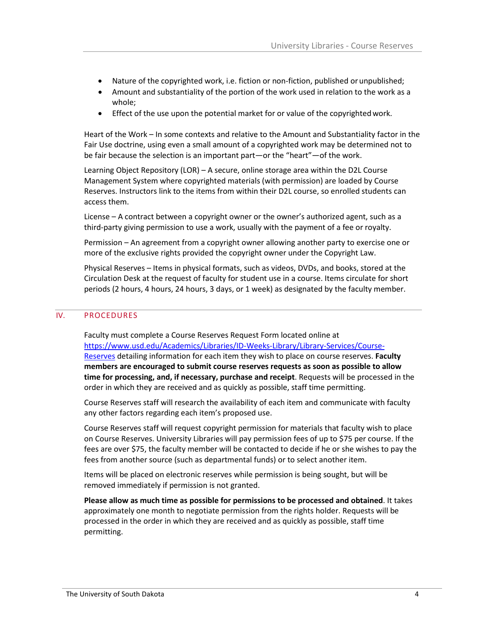- Nature of the copyrighted work, i.e. fiction or non-fiction, published or unpublished;
- Amount and substantiality of the portion of the work used in relation to the work as a whole;
- Effect of the use upon the potential market for or value of the copyrighted work.

Heart of the Work – In some contexts and relative to the Amount and Substantiality factor in the Fair Use doctrine, using even a small amount of a copyrighted work may be determined not to be fair because the selection is an important part—or the "heart"—of the work.

Learning Object Repository (LOR) – A secure, online storage area within the D2L Course Management System where copyrighted materials (with permission) are loaded by Course Reserves. Instructors link to the items from within their D2L course, so enrolled students can access them.

License – A contract between a copyright owner or the owner's authorized agent, such as a third-party giving permission to use a work, usually with the payment of a fee or royalty.

Permission – An agreement from a copyright owner allowing another party to exercise one or more of the exclusive rights provided the copyright owner under the Copyright Law.

Physical Reserves – Items in physical formats, such as videos, DVDs, and books, stored at the Circulation Desk at the request of faculty for student use in a course. Items circulate for short periods (2 hours, 4 hours, 24 hours, 3 days, or 1 week) as designated by the faculty member.

#### <span id="page-3-0"></span>IV. PROCEDURES

Faculty must complete a Course Reserves Request Form located online at [https://www.usd.edu/Academics/Libraries/ID-Weeks-Library/Library-Services/Course-](https://www.usd.edu/Academics/Libraries/ID-Weeks-Library/Library-Services/Course-Reserves)[Reserves](https://www.usd.edu/Academics/Libraries/ID-Weeks-Library/Library-Services/Course-Reserves) detailing information for each item they wish to place on course reserves. **Faculty members are encouraged to submit course reserves requests as soon as possible to allow time for processing, and, if necessary, purchase and receipt**. Requests will be processed in the order in which they are received and as quickly as possible, staff time permitting.

Course Reserves staff will research the availability of each item and communicate with faculty any other factors regarding each item's proposed use.

Course Reserves staff will request copyright permission for materials that faculty wish to place on Course Reserves. University Libraries will pay permission fees of up to \$75 per course. If the fees are over \$75, the faculty member will be contacted to decide if he or she wishes to pay the fees from another source (such as departmental funds) or to select another item.

Items will be placed on electronic reserves while permission is being sought, but will be removed immediately if permission is not granted.

**Please allow as much time as possible for permissions to be processed and obtained**. It takes approximately one month to negotiate permission from the rights holder. Requests will be processed in the order in which they are received and as quickly as possible, staff time permitting.